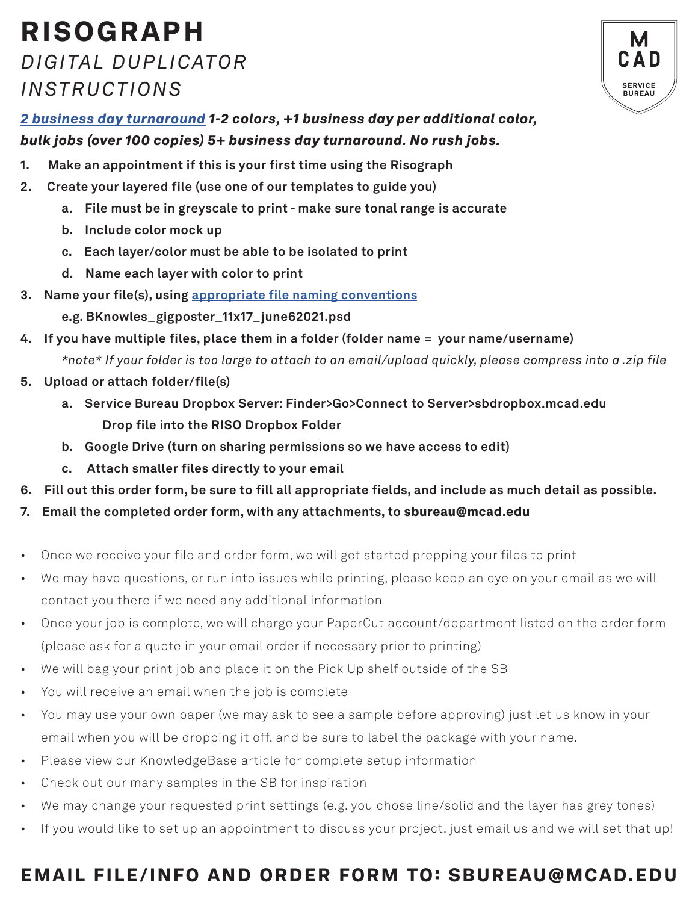## RISOGRAPH *DIGITAL DUPLICATOR INSTRUCTIONS*



*[2 business day turnaround](https://intranet.mcad.edu/kb/turnaround-times-mcad-sb-services) 1-2 colors, +1 business day per additional color, bulk jobs (over 100 copies) 5+ business day turnaround. No rush jobs.* 

- **1. Make an appointment if this is your first time using the Risograph**
- **2. Create your layered file (use one of our templates to guide you)**
	- **a. File must be in greyscale to print make sure tonal range is accurate**
	- **b. Include color mock up**
	- **c. Each layer/color must be able to be isolated to print**
	- **d. Name each layer with color to print**
- **3. Name your file(s), using [appropriate file naming conventions](https://intranet.mcad.edu/kb/file-naming-conventions)**
	- **e.g. BKnowles\_gigposter\_11x17\_june62021.psd**
- **4. If you have multiple files, place them in a folder (folder name = your name/username)** *\*note\* If your folder is too large to attach to an email/upload quickly, please compress into a .zip file*
- **5. Upload or attach folder/file(s)** 
	- **a. Service Bureau Dropbox Server: Finder>Go>Connect to Server>sbdropbox.mcad.edu Drop file into the RISO Dropbox Folder**
	- **b. Google Drive (turn on sharing permissions so we have access to edit)**
	- **c. Attach smaller files directly to your email**
- **6. Fill out this order form, be sure to fill all appropriate fields, and include as much detail as possible.**
- **7. Email the completed order form, with any attachments, to** sbureau@mcad.edu
- Once we receive your file and order form, we will get started prepping your files to print
- We may have questions, or run into issues while printing, please keep an eye on your email as we will contact you there if we need any additional information
- Once your job is complete, we will charge your PaperCut account/department listed on the order form (please ask for a quote in your email order if necessary prior to printing)
- We will bag your print job and place it on the Pick Up shelf outside of the SB
- You will receive an email when the job is complete
- You may use your own paper (we may ask to see a sample before approving) just let us know in your email when you will be dropping it off, and be sure to label the package with your name.
- Please view our KnowledgeBase article for complete setup information
- Check out our many samples in the SB for inspiration
- We may change your requested print settings (e.g. you chose line/solid and the layer has grey tones)
- If you would like to set up an appointment to discuss your project, just email us and we will set that up!

## EMAIL FILE/INFO AND ORDER FORM TO: SBUREAU@MCAD.EDU